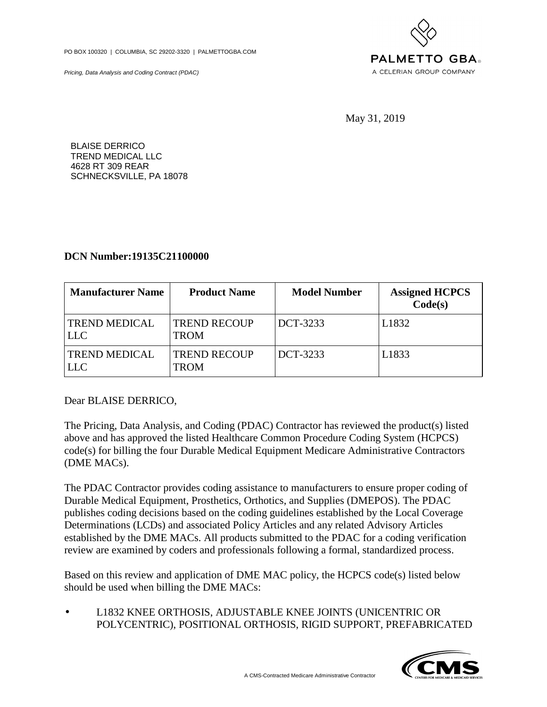PO BOX 100320 | COLUMBIA, SC 29202-3320 | PALMETTOGBA.COM

Pricing, Data Analysis and Coding Contract (PDAC)



May 31, 2019

BLAISE DERRICO TREND MEDICAL LLC 4628 RT 309 REAR SCHNECKSVILLE, PA 18078

## **DCN Number:19135C21100000**

| <b>Manufacturer Name</b>           | <b>Product Name</b>                | <b>Model Number</b> | <b>Assigned HCPCS</b><br>Code(s) |
|------------------------------------|------------------------------------|---------------------|----------------------------------|
| <b>TREND MEDICAL</b><br><b>LLC</b> | <b>TREND RECOUP</b><br><b>TROM</b> | DCT-3233            | L <sub>1832</sub>                |
| <b>TREND MEDICAL</b><br><b>LLC</b> | <b>TREND RECOUP</b><br>TROM        | DCT-3233            | L1833                            |

Dear BLAISE DERRICO,

The Pricing, Data Analysis, and Coding (PDAC) Contractor has reviewed the product(s) listed above and has approved the listed Healthcare Common Procedure Coding System (HCPCS) code(s) for billing the four Durable Medical Equipment Medicare Administrative Contractors (DME MACs).

The PDAC Contractor provides coding assistance to manufacturers to ensure proper coding of Durable Medical Equipment, Prosthetics, Orthotics, and Supplies (DMEPOS). The PDAC publishes coding decisions based on the coding guidelines established by the Local Coverage Determinations (LCDs) and associated Policy Articles and any related Advisory Articles established by the DME MACs. All products submitted to the PDAC for a coding verification review are examined by coders and professionals following a formal, standardized process.

Based on this review and application of DME MAC policy, the HCPCS code(s) listed below should be used when billing the DME MACs:

• L1832 KNEE ORTHOSIS, ADJUSTABLE KNEE JOINTS (UNICENTRIC OR POLYCENTRIC), POSITIONAL ORTHOSIS, RIGID SUPPORT, PREFABRICATED